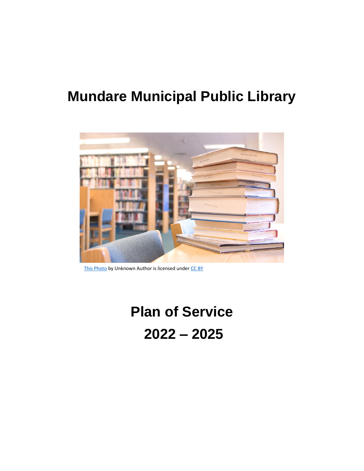# **Mundare Municipal Public Library**



[This Photo](https://www.flickr.com/photos/ccacnorthlib/4131838228) by Unknown Author is licensed under [CC BY](https://creativecommons.org/licenses/by/3.0/)

# **Plan of Service 2022 – 2025**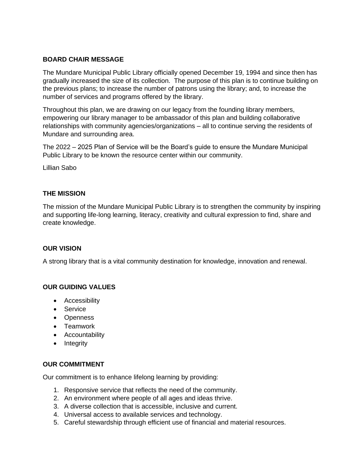#### **BOARD CHAIR MESSAGE**

The Mundare Municipal Public Library officially opened December 19, 1994 and since then has gradually increased the size of its collection. The purpose of this plan is to continue building on the previous plans; to increase the number of patrons using the library; and, to increase the number of services and programs offered by the library.

Throughout this plan, we are drawing on our legacy from the founding library members, empowering our library manager to be ambassador of this plan and building collaborative relationships with community agencies/organizations – all to continue serving the residents of Mundare and surrounding area.

The 2022 – 2025 Plan of Service will be the Board's guide to ensure the Mundare Municipal Public Library to be known the resource center within our community.

Lillian Sabo

#### **THE MISSION**

The mission of the Mundare Municipal Public Library is to strengthen the community by inspiring and supporting life-long learning, literacy, creativity and cultural expression to find, share and create knowledge.

#### **OUR VISION**

A strong library that is a vital community destination for knowledge, innovation and renewal.

#### **OUR GUIDING VALUES**

- Accessibility
- Service
- Openness
- Teamwork
- Accountability
- Integrity

#### **OUR COMMITMENT**

Our commitment is to enhance lifelong learning by providing:

- 1. Responsive service that reflects the need of the community.
- 2. An environment where people of all ages and ideas thrive.
- 3. A diverse collection that is accessible, inclusive and current.
- 4. Universal access to available services and technology.
- 5. Careful stewardship through efficient use of financial and material resources.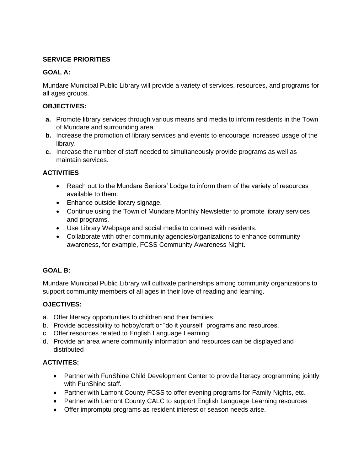#### **SERVICE PRIORITIES**

#### **GOAL A:**

Mundare Municipal Public Library will provide a variety of services, resources, and programs for all ages groups.

#### **OBJECTIVES:**

- **a.** Promote library services through various means and media to inform residents in the Town of Mundare and surrounding area.
- **b.** Increase the promotion of library services and events to encourage increased usage of the library.
- **c.** Increase the number of staff needed to simultaneously provide programs as well as maintain services.

# **ACTIVITIES**

- Reach out to the Mundare Seniors' Lodge to inform them of the variety of resources available to them.
- Enhance outside library signage.
- Continue using the Town of Mundare Monthly Newsletter to promote library services and programs.
- Use Library Webpage and social media to connect with residents.
- Collaborate with other community agencies/organizations to enhance community awareness, for example, FCSS Community Awareness Night.

# **GOAL B:**

Mundare Municipal Public Library will cultivate partnerships among community organizations to support community members of all ages in their love of reading and learning.

# **OJECTIVES:**

- a. Offer literacy opportunities to children and their families.
- b. Provide accessibility to hobby/craft or "do it yourself" programs and resources.
- c. Offer resources related to English Language Learning.
- d. Provide an area where community information and resources can be displayed and distributed

#### **ACTIVITES:**

- Partner with FunShine Child Development Center to provide literacy programming jointly with FunShine staff.
- Partner with Lamont County FCSS to offer evening programs for Family Nights, etc.
- Partner with Lamont County CALC to support English Language Learning resources
- Offer impromptu programs as resident interest or season needs arise.